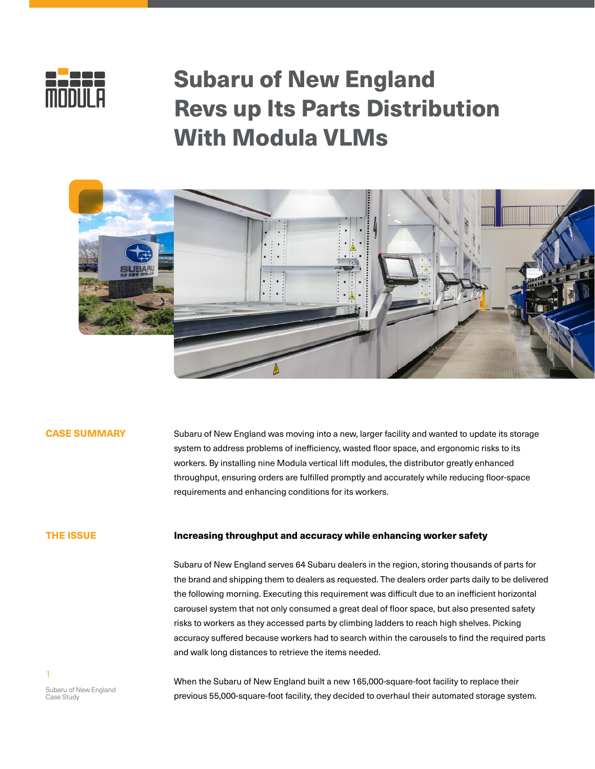

# Subaru of New England Revs up Its Parts Distribution With Modula VLMs



# CASE SUMMARY

Subaru of New England was moving into a new, larger facility and wanted to update its storage system to address problems of inefficiency, wasted floor space, and ergonomic risks to its workers. By installing nine Modula vertical lift modules, the distributor greatly enhanced throughput, ensuring orders are fulfilled promptly and accurately while reducing floor-space requirements and enhancing conditions for its workers.

#### THE ISSUE

### Increasing throughput and accuracy while enhancing worker safety

Subaru of New England serves 64 Subaru dealers in the region, storing thousands of parts for the brand and shipping them to dealers as requested. The dealers order parts daily to be delivered the following morning. Executing this requirement was difficult due to an inefficient horizontal carousel system that not only consumed a great deal of floor space, but also presented safety risks to workers as they accessed parts by climbing ladders to reach high shelves. Picking accuracy suffered because workers had to search within the carousels to find the required parts and walk long distances to retrieve the items needed.

Subaru of New England Case Study

1

When the Subaru of New England built a new 165,000-square-foot facility to replace their previous 55,000-square-foot facility, they decided to overhaul their automated storage system.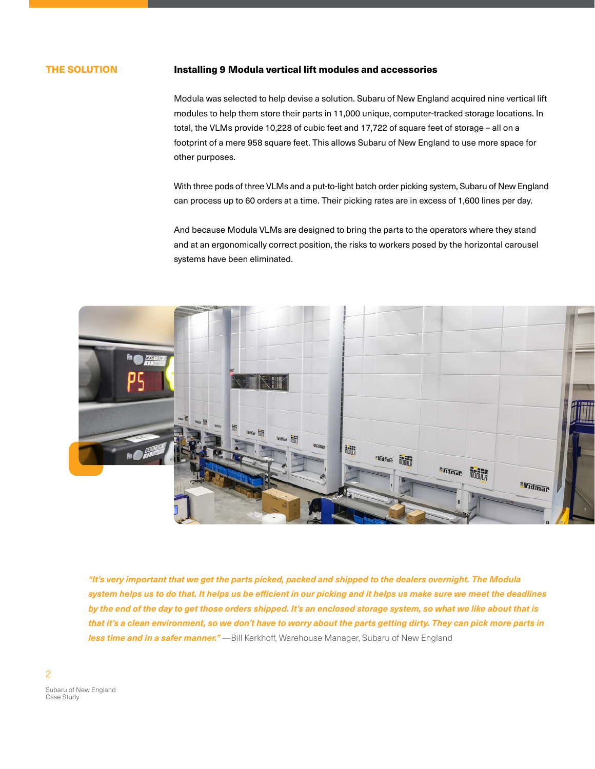## THE SOLUTION

### Installing 9 Modula vertical lift modules and accessories

Modula was selected to help devise a solution. Subaru of New England acquired nine vertical lift modules to help them store their parts in 11,000 unique, computer-tracked storage locations. In total, the VLMs provide 10,228 of cubic feet and 17,722 of square feet of storage – all on a footprint of a mere 958 square feet. This allows Subaru of New England to use more space for other purposes.

With three pods of three VLMs and a put-to-light batch order picking system, Subaru of New England can process up to 60 orders at a time. Their picking rates are in excess of 1,600 lines per day.

And because Modula VLMs are designed to bring the parts to the operators where they stand and at an ergonomically correct position, the risks to workers posed by the horizontal carousel systems have been eliminated.



*"It's very important that we get the parts picked, packed and shipped to the dealers overnight. The Modula system helps us to do that. It helps us be efficient in our picking and it helps us make sure we meet the deadlines by the end of the day to get those orders shipped. It's an enclosed storage system, so what we like about that is that it's a clean environment, so we don't have to worry about the parts getting dirty. They can pick more parts in*  **less time and in a safer manner."** —Bill Kerkhoff, Warehouse Manager, Subaru of New England

 $\mathfrak{p}$